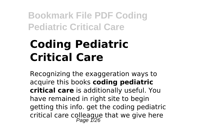# **Coding Pediatric Critical Care**

Recognizing the exaggeration ways to acquire this books **coding pediatric critical care** is additionally useful. You have remained in right site to begin getting this info. get the coding pediatric critical care colleague that we give here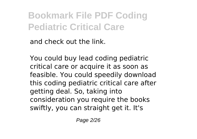and check out the link.

You could buy lead coding pediatric critical care or acquire it as soon as feasible. You could speedily download this coding pediatric critical care after getting deal. So, taking into consideration you require the books swiftly, you can straight get it. It's

Page 2/26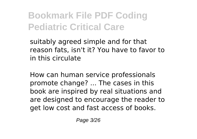suitably agreed simple and for that reason fats, isn't it? You have to favor to in this circulate

How can human service professionals promote change? ... The cases in this book are inspired by real situations and are designed to encourage the reader to get low cost and fast access of books.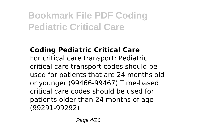### **Coding Pediatric Critical Care**

For critical care transport: Pediatric critical care transport codes should be used for patients that are 24 months old or younger (99466-99467) Time-based critical care codes should be used for patients older than 24 months of age (99291-99292)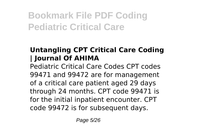### **Untangling CPT Critical Care Coding | Journal Of AHIMA**

Pediatric Critical Care Codes CPT codes 99471 and 99472 are for management of a critical care patient aged 29 days through 24 months. CPT code 99471 is for the initial inpatient encounter. CPT code 99472 is for subsequent days.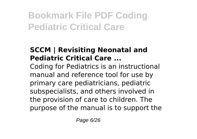### **SCCM | Revisiting Neonatal and Pediatric Critical Care ...**

Coding for Pediatrics is an instructional manual and reference tool for use by primary care pediatricians, pediatric subspecialists, and others involved in the provision of care to children. The purpose of the manual is to support the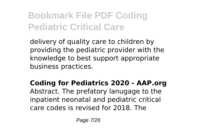delivery of quality care to children by providing the pediatric provider with the knowledge to best support appropriate business practices.

#### **Coding for Pediatrics 2020 - AAP.org** Abstract. The prefatory lanugage to the inpatient neonatal and pediatric critical care codes is revised for 2018. The

Page 7/26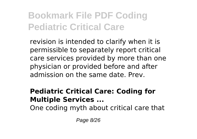revision is intended to clarify when it is permissible to separately report critical care services provided by more than one physician or provided before and after admission on the same date. Prev.

#### **Pediatric Critical Care: Coding for Multiple Services ...**

One coding myth about critical care that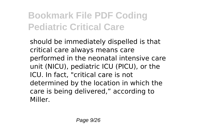should be immediately dispelled is that critical care always means care performed in the neonatal intensive care unit (NICU), pediatric ICU (PICU), or the ICU. In fact, "critical care is not determined by the location in which the care is being delivered," according to Miller.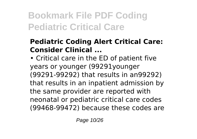#### **Pediatric Coding Alert Critical Care: Consider Clinical ...**

• Critical care in the ED of patient five years or younger (99291younger (99291-99292) that results in an99292) that results in an inpatient admission by the same provider are reported with neonatal or pediatric critical care codes (99468-99472) because these codes are

Page 10/26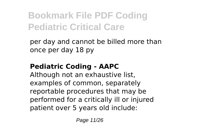per day and cannot be billed more than once per day 18 py

### **Pediatric Coding - AAPC**

Although not an exhaustive list, examples of common, separately reportable procedures that may be performed for a critically ill or injured patient over 5 years old include: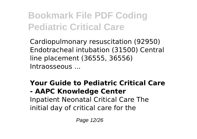Cardiopulmonary resuscitation (92950) Endotracheal intubation (31500) Central line placement (36555, 36556) Intraosseous ...

### **Your Guide to Pediatric Critical Care**

### **- AAPC Knowledge Center**

Inpatient Neonatal Critical Care The initial day of critical care for the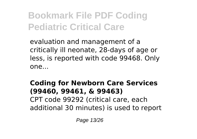evaluation and management of a critically ill neonate, 28-days of age or less, is reported with code 99468. Only one...

#### **Coding for Newborn Care Services (99460, 99461, & 99463)** CPT code 99292 (critical care, each additional 30 minutes) is used to report

Page 13/26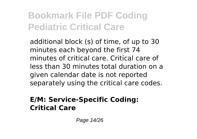additional block (s) of time, of up to 30 minutes each beyond the first 74 minutes of critical care. Critical care of less than 30 minutes total duration on a given calendar date is not reported separately using the critical care codes.

#### **E/M: Service-Specific Coding: Critical Care**

Page 14/26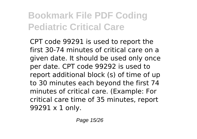CPT code 99291 is used to report the first 30-74 minutes of critical care on a given date. It should be used only once per date. CPT code 99292 is used to report additional block (s) of time of up to 30 minutes each beyond the first 74 minutes of critical care. (Example: For critical care time of 35 minutes, report 99291 x 1 only.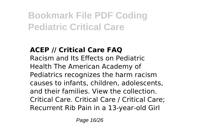### **ACEP // Critical Care FAQ**

Racism and Its Effects on Pediatric Health The American Academy of Pediatrics recognizes the harm racism causes to infants, children, adolescents, and their families. View the collection. Critical Care. Critical Care / Critical Care; Recurrent Rib Pain in a 13-year-old Girl

Page 16/26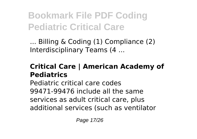... Billing & Coding (1) Compliance (2) Interdisciplinary Teams (4 ...

#### **Critical Care | American Academy of Pediatrics**

Pediatric critical care codes 99471-99476 include all the same services as adult critical care, plus additional services (such as ventilator

Page 17/26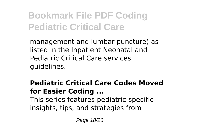management and lumbar puncture) as listed in the Inpatient Neonatal and Pediatric Critical Care services guidelines.

#### **Pediatric Critical Care Codes Moved for Easier Coding ...** This series features pediatric-specific insights, tips, and strategies from

Page 18/26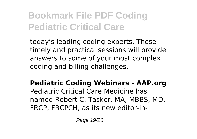today's leading coding experts. These timely and practical sessions will provide answers to some of your most complex coding and billing challenges.

**Pediatric Coding Webinars - AAP.org** Pediatric Critical Care Medicine has named Robert C. Tasker, MA, MBBS, MD, FRCP, FRCPCH, as its new editor-in-

Page 19/26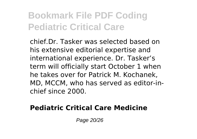chief.Dr. Tasker was selected based on his extensive editorial expertise and international experience. Dr. Tasker's term will officially start October 1 when he takes over for Patrick M. Kochanek, MD, MCCM, who has served as editor-inchief since 2000.

#### **Pediatric Critical Care Medicine**

Page 20/26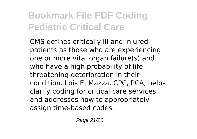CMS defines critically ill and injured patients as those who are experiencing one or more vital organ failure(s) and who have a high probability of life threatening deterioration in their condition. Lois E. Mazza, CPC, PCA, helps clarify coding for critical care services and addresses how to appropriately assign time-based codes.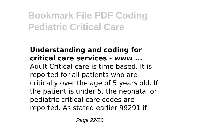#### **Understanding and coding for critical care services - www ...** Adult Critical care is time based. It is reported for all patients who are critically over the age of 5 years old. If the patient is under 5, the neonatal or pediatric critical care codes are reported. As stated earlier 99291 if

Page 22/26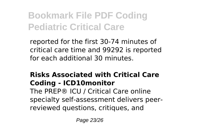reported for the first 30-74 minutes of critical care time and 99292 is reported for each additional 30 minutes.

### **Risks Associated with Critical Care Coding - ICD10monitor**

The PREP® ICU / Critical Care online specialty self-assessment delivers peerreviewed questions, critiques, and

Page 23/26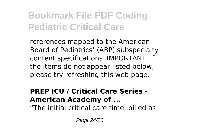references mapped to the American Board of Pediatrics' (ABP) subspecialty content specifications. IMPORTANT: If the items do not appear listed below, please try refreshing this web page.

#### **PREP ICU / Critical Care Series - American Academy of ...**

"The initial critical care time, billed as

Page 24/26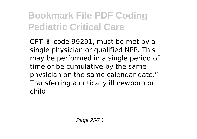CPT ® code 99291, must be met by a single physician or qualified NPP. This may be performed in a single period of time or be cumulative by the same physician on the same calendar date." Transferring a critically ill newborn or child